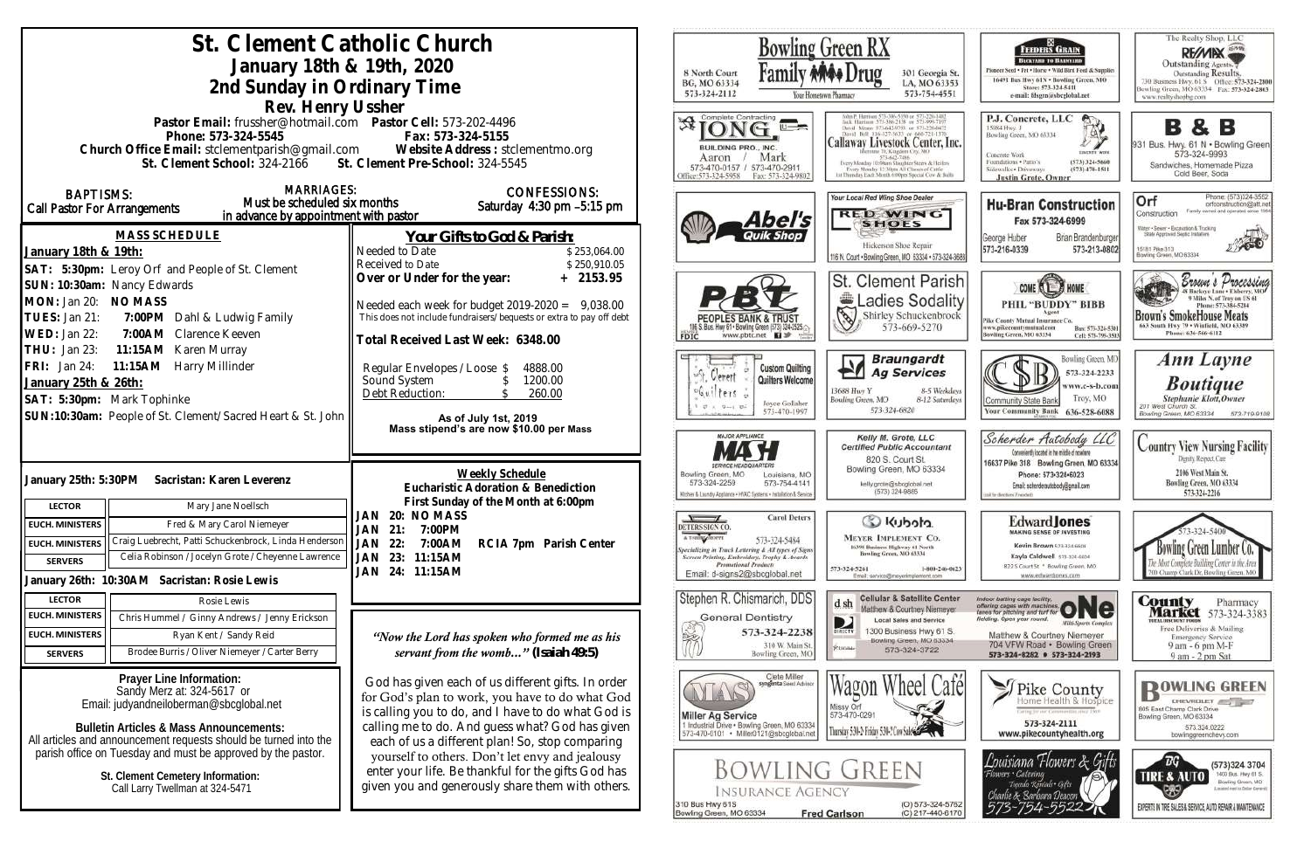| St. Clement Catholic Church<br>January 18th & 19th, 2020<br>2nd Sunday in Ordinary Time<br>Rev. Henry Ussher                                                                                                                                | <b>Bowling Green RX</b><br>8 North Court<br>301 Georgia St.<br>BG, MO 63334<br>LA, MO 63353<br>573-754-4551<br>573-324-2112<br>Your Hontetown Pharmacy                                                                                                            |                                                                                                                                                                                                         |                                                                                                                                                                                                                                        |  |
|---------------------------------------------------------------------------------------------------------------------------------------------------------------------------------------------------------------------------------------------|-------------------------------------------------------------------------------------------------------------------------------------------------------------------------------------------------------------------------------------------------------------------|---------------------------------------------------------------------------------------------------------------------------------------------------------------------------------------------------------|----------------------------------------------------------------------------------------------------------------------------------------------------------------------------------------------------------------------------------------|--|
| Pastor Email: frussher@hotmail.com    Pastor Cell: 573-202-4496<br>Phone: 573-324-5545<br>Church Office Email: stclementparish@gmail.com Website Address : stclementmo.org<br>St. Clement School: 324-2166 St. Clement Pre-School: 324-5545 | Fax: 573-324-5155                                                                                                                                                                                                                                                 | Complete Contracting<br>BUILDING PRO., INC.<br>Mark<br>Aaron<br>573-470-0157 / 573-470-2911<br>Office:573-324-5958<br>Fax: 573-324-9802                                                                 | <b>Callaway Livestock Center, Inc.</b><br>nune 70, Kangdom Ciry, MO<br>573-642-7486<br>Every Monday 10:00am Stagpher Steers & Heilen<br>Every Monday 12-30ms All Classes of Cattle<br>iat Thursday Each Month 6:00pm Special Cow & Bul |  |
| <b>MARRIAGES:</b><br><b>BAPTISMS:</b><br>Must be scheduled six months<br>Call Pastor For Arrangements<br>in advance by appointment with pastor                                                                                              | <b>CONFESSIONS:</b><br>Saturday $4:30$ pm $-5:15$ pm                                                                                                                                                                                                              | Abel's                                                                                                                                                                                                  | Your Local Red Wing Shoe Dealer<br><b>RED WING</b><br><b>SHOES</b>                                                                                                                                                                     |  |
| <b>MASS SCHEDULE</b><br>January 18th & 19th:<br>SAT: 5:30pm: Leroy Orf and People of St. Clement                                                                                                                                            | Your Gifts to God & Parish:<br>Needed to Date<br>\$253,064.00<br>Received to Date<br>\$250,910.05                                                                                                                                                                 |                                                                                                                                                                                                         | Hickerson Shoe Repair<br>116 N. Court . Bowling Green, MO 63334 . 573-324-36                                                                                                                                                           |  |
| SUN: 10:30am: Nancy Edwards<br>MON: Jan 20: NO MASS<br>TUES: Jan 21:<br>7:00PM Dahl & Ludwig Family<br>WED: Jan 22:<br>7:00AM Clarence Keeven                                                                                               | Over or Under for the year:<br>$+ 2153.95$<br>Needed each week for budget $2019-2020 = 9,038.00$<br>This does not include fundraisers/bequests or extra to pay off debt<br>Total Received Last Week: 6348.00                                                      | <b>PEOPLES BANK &amp; TRUS</b><br>06 S. Bus. Hwy 61 . Bowling Green (573) 324-2525.<br>www.pbtc.net <b>El</b><br>FDIC                                                                                   | <b>St. Clement Parish</b><br>Ladies Sodalit<br>130<br>Shirley Schuckenbrock<br>573-669-5270                                                                                                                                            |  |
| THU: Jan 23:<br>11:15AM Karen Murray<br>11:15AM Harry Millinder<br>FRI: Jan 24:<br>January 25th & 26th:<br>SAT: 5:30pm: Mark Tophinke<br>SUN:10:30am: People of St. Clement/Sacred Heart & St. John                                         | Regular Envelopes / Loose \$<br>4888.00<br>Sound System<br>1200.00<br>Debt Reduction:<br>260.00<br>As of July 1st, 2019                                                                                                                                           | <b>Custom Quilting</b><br>oft, Clement<br>Quilters Welcome<br>Guilters<br>Joyce Gollaher<br>573-470-1997                                                                                                | <b>Braungardt</b><br>PN.<br><b>Ag Services</b><br>13688 Huy Y<br>8-5 Weekday<br>Bowling Green, MO<br>8-12 Saturday<br>573-324-6820                                                                                                     |  |
|                                                                                                                                                                                                                                             | Mass stipend's are now \$10.00 per Mass<br>Weekly Schedule                                                                                                                                                                                                        | <b>MAJOR APPLIANCE</b><br>Bowling Green, MO<br>Louisiana, MO                                                                                                                                            | Kelly M. Grote, LLC<br><b>Certified Public Accountant</b><br>820 S. Court St.<br>Bowling Green, MO 63334                                                                                                                               |  |
| January 25th: 5:30PM<br>Sacristan: Karen Leverenz<br>Mary Jane Noellsch<br><b>LECTOR</b><br>Fred & Mary Carol Niemeyer<br><b>EUCH. MINISTERS</b>                                                                                            | Eucharistic Adoration & Benediction<br>First Sunday of the Month at 6:00pm<br>JAN 20: NO MASS                                                                                                                                                                     | 573-324-2259<br>573-754-4141<br>Kitchen & Laundry Appliance . HVAC Systems . Installation & Service<br><b>Carol Deters</b><br>$\sqrt{ }$<br>DETERS SIGN CO                                              | kelly.grote@sbcglobal.net<br>(573) 324-9885<br>Co Kubota                                                                                                                                                                               |  |
| Craig Luebrecht, Patti Schuckenbrock, Linda Henderson<br><b>EUCH. MINISTERS</b><br>Celia Robinson / Jocelyn Grote / Cheyenne Lawrence<br><b>SERVERS</b>                                                                                     | JAN<br>21:<br>7:00PM<br>JAN<br>22:<br>7:00AM<br>RCIA 7pm Parish Center<br>23: 11:15AM<br>JAN<br>JAN 24: 11:15AM                                                                                                                                                   | A T-SBIRT SHOPPE<br>573-324-5484<br>pecializing in Truck Lettering & All types of Signs<br>Screen Printing, Embroidery, Trophy & Awards<br><b>Promotional Products</b><br>Email: d-signs2@sbcglobal.net | <b>MEYER IMPLEMENT CO.</b><br>16398 Business Highway 61 North<br>Bowling Green, MO 63334<br>573-324-5261<br>1-800-246-062<br>Email: service@msyerimplement.com                                                                         |  |
| January 26th: 10:30AM Sacristan: Rosie Lewis<br><b>LECTOR</b><br>Rosie Lewis<br><b>EUCH. MINISTERS</b><br>Chris Hummel / Ginny Andrews / Jenny Erickson                                                                                     |                                                                                                                                                                                                                                                                   | Stephen R. Chismarich, DDS<br><b>General Dentistry</b>                                                                                                                                                  | <b>Cellular &amp; Satellite Center</b><br>d sh<br>Matthew & Courtney Niemeyer<br><b>Local Sales and Service</b><br>D                                                                                                                   |  |
| <b>EUCH. MINISTERS</b><br>Ryan Kent / Sandy Reid<br>Brodee Burris / Oliver Niemeyer / Carter Berry<br><b>SERVERS</b>                                                                                                                        | "Now the Lord has spoken who formed me as his<br>servant from the womb" (Isaiah 49:5)                                                                                                                                                                             | 573-324-2238<br>310 W. Main St.<br>Bowling Green, MO                                                                                                                                                    | 300 Business Hwy 61 S.<br>DIRECTV<br>Bowling Green, MO 63334<br>RUIGNE<br>573-324-3722                                                                                                                                                 |  |
| Prayer Line Information:<br>Sandy Merz at: 324-5617 or<br>Email: judyandneiloberman@sbcglobal.net<br><b>Bulletin Articles &amp; Mass Announcements:</b><br>All articles and announcement requests should be turned into the                 | God has given each of us different gifts. In order<br>for God's plan to work, you have to do what God<br>is calling you to do, and I have to do what God is<br>calling me to do. And guess what? God has given<br>each of us a different plan! So, stop comparing | Clete Miller<br>syngenta Seed Advisor<br><b>Miller Ag Service</b><br>1 Industrial Drive . Bowling Green, MO 63334<br>573-470-0101 · Miller0121@sbcglobal.net                                            | Wagon Wheel Cafe<br>Missy Orf<br>573-470-0291<br>Thursday 5:30-2 Friday 5:30-2 Cow SubSection                                                                                                                                          |  |
| parish office on Tuesday and must be approved by the pastor.<br>St. Clement Cemetery Information:<br>Call Larry Twellman at 324-5471                                                                                                        | yourself to others. Don't let envy and jealousy<br>enter your life. Be thankful for the gifts God has<br>given you and generously share them with others.                                                                                                         | <b>BOWLING GREEN</b><br><b>INSURANCE AGENCY</b><br>(O) 573-324-576.<br>310 Bus Hwy 61S<br><b>Fred Carlson</b><br>Bowling Green, MO 63334<br>(C) 217-440-617                                             |                                                                                                                                                                                                                                        |  |